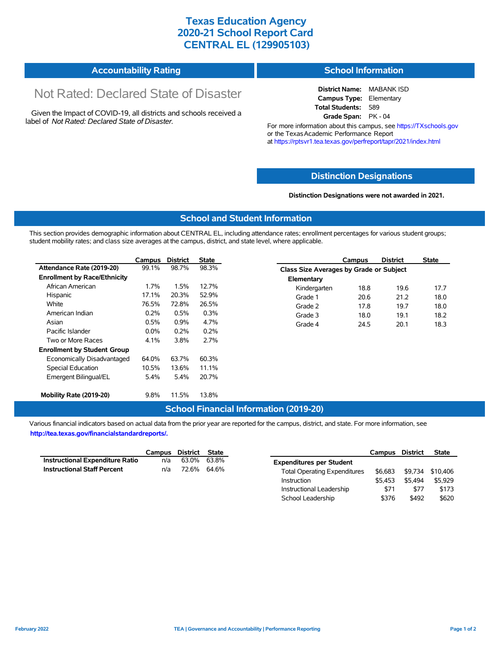## **Texas Education Agency 2020-21 School Report Card CENTRAL EL (129905103)**

| <b>Accountability Rating</b> | <b>School Information</b> |
|------------------------------|---------------------------|
|------------------------------|---------------------------|

# Not Rated: Declared State of Disaster

Given the Impact of COVID-19, all districts and schools received a label of *Not Rated: Declared State of Disaster.*

**District Name:** MABANK ISD **Campus Type:** Elementary **Total Students:** 589 **Grade Span:** PK - 04

For more information about this campus, see https://TXschools.gov or the Texas Academic Performance Report at https://rptsvr1.tea.texas.gov/perfreport/tapr/2021/index.html

### **Distinction Designations**

**Distinction Designations were not awarded in 2021.**

School Leadership  $$376$  \$492 \$620

#### **School and Student Information**

This section provides demographic information about CENTRAL EL, including attendance rates; enrollment percentages for various student groups; student mobility rates; and class size averages at the campus, district, and state level, where applicable.

|                                     | Campus  | <b>District</b> | State |              | Campus                                         | <b>District</b> | <b>State</b> |  |  |
|-------------------------------------|---------|-----------------|-------|--------------|------------------------------------------------|-----------------|--------------|--|--|
| Attendance Rate (2019-20)           | 99.1%   | 98.7%           | 98.3% |              | <b>Class Size Averages by Grade or Subject</b> |                 |              |  |  |
| <b>Enrollment by Race/Ethnicity</b> |         |                 |       | Elementary   |                                                |                 |              |  |  |
| African American                    | $1.7\%$ | 1.5%            | 12.7% | Kindergarten | 18.8                                           | 19.6            | 17.7         |  |  |
| Hispanic                            | 17.1%   | 20.3%           | 52.9% | Grade 1      | 20.6                                           | 21.2            | 18.0         |  |  |
| White                               | 76.5%   | 72.8%           | 26.5% | Grade 2      | 17.8                                           | 19.7            | 18.0         |  |  |
| American Indian                     | 0.2%    | 0.5%            | 0.3%  | Grade 3      | 18.0                                           | 19.1            | 18.2         |  |  |
| Asian                               | 0.5%    | 0.9%            | 4.7%  | Grade 4      | 24.5                                           | 20.1            | 18.3         |  |  |
| Pacific Islander                    | $0.0\%$ | 0.2%            | 0.2%  |              |                                                |                 |              |  |  |
| Two or More Races                   | 4.1%    | 3.8%            | 2.7%  |              |                                                |                 |              |  |  |
| <b>Enrollment by Student Group</b>  |         |                 |       |              |                                                |                 |              |  |  |
| Economically Disadvantaged          | 64.0%   | 63.7%           | 60.3% |              |                                                |                 |              |  |  |
| Special Education                   | 10.5%   | 13.6%           | 11.1% |              |                                                |                 |              |  |  |
| Emergent Bilingual/EL               | 5.4%    | 5.4%            | 20.7% |              |                                                |                 |              |  |  |
|                                     |         |                 |       |              |                                                |                 |              |  |  |
| Mobility Rate (2019-20)             | 9.8%    | 11.5%           | 13.8% |              |                                                |                 |              |  |  |

#### **School Financial Information (2019-20)**

Various financial indicators based on actual data from the prior year are reported for the campus, district, and state. For more information, see

**http://tea.texas.gov/financialstandardreports/.**

|                                        | Campus | District | State |                                     | Campus  | <b>District</b> | <b>State</b>     |
|----------------------------------------|--------|----------|-------|-------------------------------------|---------|-----------------|------------------|
| <b>Instructional Expenditure Ratio</b> | n/a    | 63.0%    | 63.8% | <b>Expenditures per Student</b>     |         |                 |                  |
| <b>Instructional Staff Percent</b>     | n/a    | 72.6%    | 64.6% | <b>Total Operating Expenditures</b> | \$6.683 |                 | \$9,734 \$10,406 |
|                                        |        |          |       | Instruction                         | \$5.453 | \$5.494         | \$5.929          |
|                                        |        |          |       | Instructional Leadership            | \$71    | \$77            | \$173            |